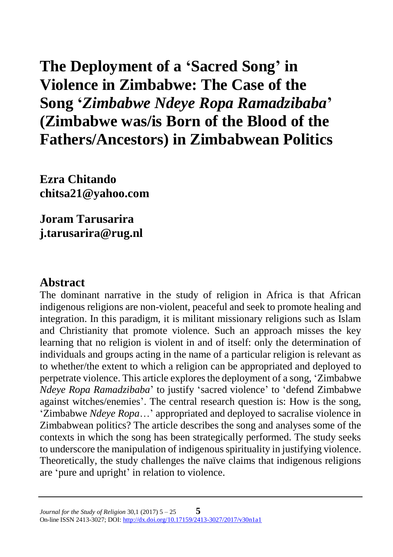**The Deployment of a 'Sacred Song' in Violence in Zimbabwe: The Case of the Song '***Zimbabwe Ndeye Ropa Ramadzibaba***' (Zimbabwe was/is Born of the Blood of the Fathers/Ancestors) in Zimbabwean Politics**

**Ezra Chitando chitsa21@yahoo.com**

**Joram Tarusarira j.tarusarira@rug.nl**

### **Abstract**

The dominant narrative in the study of religion in Africa is that African indigenous religions are non-violent, peaceful and seek to promote healing and integration. In this paradigm, it is militant missionary religions such as Islam and Christianity that promote violence. Such an approach misses the key learning that no religion is violent in and of itself: only the determination of individuals and groups acting in the name of a particular religion is relevant as to whether/the extent to which a religion can be appropriated and deployed to perpetrate violence. This article explores the deployment of a song, 'Zimbabwe *Ndeye Ropa Ramadzibaba*' to justify 'sacred violence' to 'defend Zimbabwe against witches/enemies'. The central research question is: How is the song, 'Zimbabwe *Ndeye Ropa*…' appropriated and deployed to sacralise violence in Zimbabwean politics? The article describes the song and analyses some of the contexts in which the song has been strategically performed. The study seeks to underscore the manipulation of indigenous spirituality in justifying violence. Theoretically, the study challenges the naïve claims that indigenous religions are 'pure and upright' in relation to violence.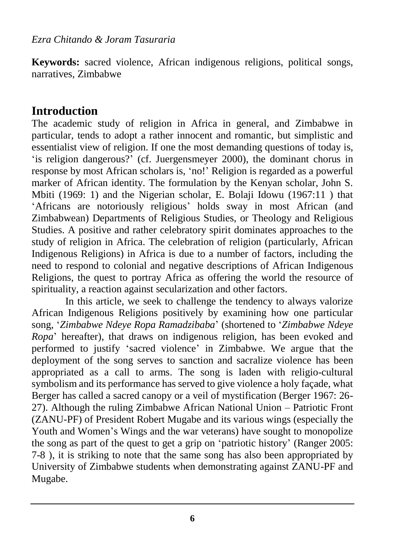**Keywords:** sacred violence, African indigenous religions, political songs, narratives, Zimbabwe

### **Introduction**

The academic study of religion in Africa in general, and Zimbabwe in particular, tends to adopt a rather innocent and romantic, but simplistic and essentialist view of religion. If one the most demanding questions of today is, 'is religion dangerous?' (cf. Juergensmeyer 2000), the dominant chorus in response by most African scholars is, 'no!' Religion is regarded as a powerful marker of African identity. The formulation by the Kenyan scholar, John S. Mbiti (1969: 1) and the Nigerian scholar, E. Bolaji Idowu (1967:11 ) that 'Africans are notoriously religious' holds sway in most African (and Zimbabwean) Departments of Religious Studies, or Theology and Religious Studies. A positive and rather celebratory spirit dominates approaches to the study of religion in Africa. The celebration of religion (particularly, African Indigenous Religions) in Africa is due to a number of factors, including the need to respond to colonial and negative descriptions of African Indigenous Religions, the quest to portray Africa as offering the world the resource of spirituality, a reaction against secularization and other factors.

In this article, we seek to challenge the tendency to always valorize African Indigenous Religions positively by examining how one particular song, '*Zimbabwe Ndeye Ropa Ramadzibaba*' (shortened to '*Zimbabwe Ndeye Ropa*' hereafter), that draws on indigenous religion, has been evoked and performed to justify 'sacred violence' in Zimbabwe. We argue that the deployment of the song serves to sanction and sacralize violence has been appropriated as a call to arms. The song is laden with religio-cultural symbolism and its performance has served to give violence a holy façade, what Berger has called a sacred canopy or a veil of mystification (Berger 1967: 26- 27). Although the ruling Zimbabwe African National Union – Patriotic Front (ZANU-PF) of President Robert Mugabe and its various wings (especially the Youth and Women's Wings and the war veterans) have sought to monopolize the song as part of the quest to get a grip on 'patriotic history' (Ranger 2005: 7-8 ), it is striking to note that the same song has also been appropriated by University of Zimbabwe students when demonstrating against ZANU-PF and Mugabe.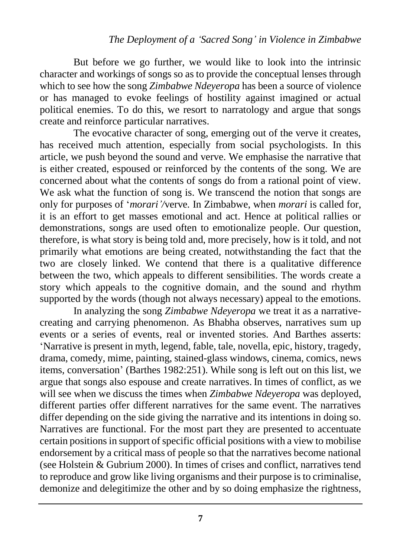But before we go further, we would like to look into the intrinsic character and workings of songs so as to provide the conceptual lenses through which to see how the song *Zimbabwe Ndeyeropa* has been a source of violence or has managed to evoke feelings of hostility against imagined or actual political enemies. To do this, we resort to narratology and argue that songs create and reinforce particular narratives.

The evocative character of song, emerging out of the verve it creates, has received much attention, especially from social psychologists. In this article, we push beyond the sound and verve. We emphasise the narrative that is either created, espoused or reinforced by the contents of the song. We are concerned about what the contents of songs do from a rational point of view. We ask what the function of song is. We transcend the notion that songs are only for purposes of '*morari'/*verve*.* In Zimbabwe, when *morari* is called for, it is an effort to get masses emotional and act. Hence at political rallies or demonstrations, songs are used often to emotionalize people. Our question, therefore, is what story is being told and, more precisely, how is it told, and not primarily what emotions are being created, notwithstanding the fact that the two are closely linked. We contend that there is a qualitative difference between the two, which appeals to different sensibilities. The words create a story which appeals to the cognitive domain, and the sound and rhythm supported by the words (though not always necessary) appeal to the emotions.

In analyzing the song *Zimbabwe Ndeyeropa* we treat it as a narrativecreating and carrying phenomenon. As Bhabha observes, narratives sum up events or a series of events, real or invented stories. And Barthes asserts: 'Narrative is present in myth, legend, fable, tale, novella, epic, history, tragedy, drama, comedy, mime, painting, stained-glass windows, cinema, comics, news items, conversation' (Barthes 1982:251). While song is left out on this list, we argue that songs also espouse and create narratives. In times of conflict, as we will see when we discuss the times when *Zimbabwe Ndeyeropa* was deployed, different parties offer different narratives for the same event. The narratives differ depending on the side giving the narrative and its intentions in doing so. Narratives are functional. For the most part they are presented to accentuate certain positions in support of specific official positions with a view to mobilise endorsement by a critical mass of people so that the narratives become national (see Holstein & Gubrium 2000). In times of crises and conflict, narratives tend to reproduce and grow like living organisms and their purpose is to criminalise, demonize and delegitimize the other and by so doing emphasize the rightness,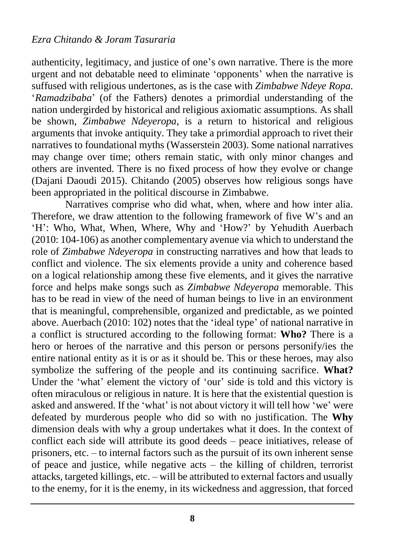authenticity, legitimacy, and justice of one's own narrative. There is the more urgent and not debatable need to eliminate 'opponents' when the narrative is suffused with religious undertones, as is the case with *Zimbabwe Ndeye Ropa.* '*Ramadzibaba*' (of the Fathers) denotes a primordial understanding of the nation undergirded by historical and religious axiomatic assumptions. As shall be shown, *Zimbabwe Ndeyeropa*, is a return to historical and religious arguments that invoke antiquity. They take a primordial approach to rivet their narratives to foundational myths (Wasserstein 2003). Some national narratives may change over time; others remain static, with only minor changes and others are invented. There is no fixed process of how they evolve or change (Dajani Daoudi 2015). Chitando (2005) observes how religious songs have been appropriated in the political discourse in Zimbabwe.

Narratives comprise who did what, when, where and how inter alia. Therefore, we draw attention to the following framework of five W's and an 'H': Who, What, When, Where, Why and 'How?' by Yehudith Auerbach (2010: 104-106) as another complementary avenue via which to understand the role of *Zimbabwe Ndeyeropa* in constructing narratives and how that leads to conflict and violence. The six elements provide a unity and coherence based on a logical relationship among these five elements, and it gives the narrative force and helps make songs such as *Zimbabwe Ndeyeropa* memorable. This has to be read in view of the need of human beings to live in an environment that is meaningful, comprehensible, organized and predictable, as we pointed above. Auerbach (2010: 102) notes that the 'ideal type' of national narrative in a conflict is structured according to the following format: **Who?** There is a hero or heroes of the narrative and this person or persons personify/ies the entire national entity as it is or as it should be. This or these heroes, may also symbolize the suffering of the people and its continuing sacrifice. **What?**  Under the 'what' element the victory of 'our' side is told and this victory is often miraculous or religious in nature. It is here that the existential question is asked and answered. If the 'what' is not about victory it will tell how 'we' were defeated by murderous people who did so with no justification. The **Why** dimension deals with why a group undertakes what it does. In the context of conflict each side will attribute its good deeds – peace initiatives, release of prisoners, etc. – to internal factors such as the pursuit of its own inherent sense of peace and justice, while negative  $acts - the$  killing of children, terrorist attacks, targeted killings, etc. – will be attributed to external factors and usually to the enemy, for it is the enemy, in its wickedness and aggression, that forced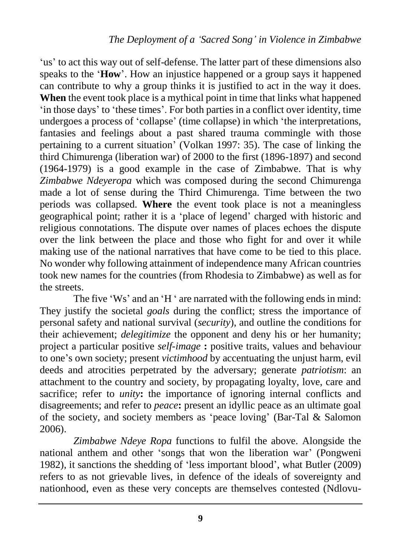'us' to act this way out of self-defense. The latter part of these dimensions also speaks to the '**How**'. How an injustice happened or a group says it happened can contribute to why a group thinks it is justified to act in the way it does. **When** the event took place is a mythical point in time that links what happened 'in those days' to 'these times'. For both parties in a conflict over identity, time undergoes a process of 'collapse' (time collapse) in which 'the interpretations, fantasies and feelings about a past shared trauma commingle with those pertaining to a current situation' (Volkan 1997: 35). The case of linking the third Chimurenga (liberation war) of 2000 to the first (1896-1897) and second (1964-1979) is a good example in the case of Zimbabwe. That is why *Zimbabwe Ndeyeropa* which was composed during the second Chimurenga made a lot of sense during the Third Chimurenga. Time between the two periods was collapsed. **Where** the event took place is not a meaningless geographical point; rather it is a 'place of legend' charged with historic and religious connotations. The dispute over names of places echoes the dispute over the link between the place and those who fight for and over it while making use of the national narratives that have come to be tied to this place. No wonder why following attainment of independence many African countries took new names for the countries (from Rhodesia to Zimbabwe) as well as for the streets.

The five 'Ws' and an 'H ' are narrated with the following ends in mind: They justify the societal *goals* during the conflict; stress the importance of personal safety and national survival (*security*), and outline the conditions for their achievement; *delegitimize* the opponent and deny his or her humanity; project a particular positive *self-image* **:** positive traits, values and behaviour to one's own society; present *victimhood* by accentuating the unjust harm, evil deeds and atrocities perpetrated by the adversary; generate *patriotism*: an attachment to the country and society, by propagating loyalty, love, care and sacrifice; refer to *unity*: the importance of ignoring internal conflicts and disagreements; and refer to *peace***:** present an idyllic peace as an ultimate goal of the society, and society members as 'peace loving' (Bar-Tal & Salomon 2006).

*Zimbabwe Ndeye Ropa* functions to fulfil the above. Alongside the national anthem and other 'songs that won the liberation war' (Pongweni 1982), it sanctions the shedding of 'less important blood', what Butler (2009) refers to as not grievable lives, in defence of the ideals of sovereignty and nationhood, even as these very concepts are themselves contested (Ndlovu-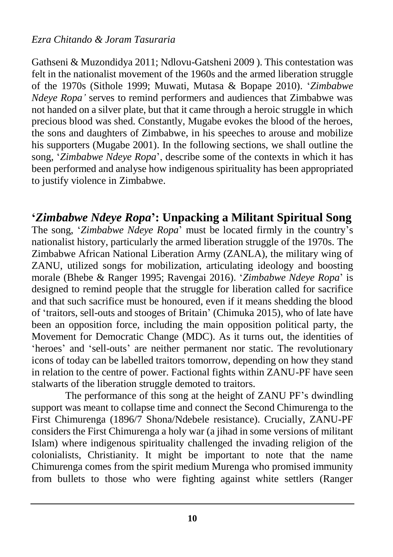#### *Ezra Chitando & Joram Tasuraria*

Gathseni & Muzondidya 2011; Ndlovu-Gatsheni 2009 ). This contestation was felt in the nationalist movement of the 1960s and the armed liberation struggle of the 1970s (Sithole 1999; Muwati, Mutasa & Bopape 2010). '*Zimbabwe Ndeye Ropa'* serves to remind performers and audiences that Zimbabwe was not handed on a silver plate, but that it came through a heroic struggle in which precious blood was shed. Constantly, Mugabe evokes the blood of the heroes, the sons and daughters of Zimbabwe, in his speeches to arouse and mobilize his supporters (Mugabe 2001). In the following sections, we shall outline the song, '*Zimbabwe Ndeye Ropa*', describe some of the contexts in which it has been performed and analyse how indigenous spirituality has been appropriated to justify violence in Zimbabwe.

**'***Zimbabwe Ndeye Ropa***': Unpacking a Militant Spiritual Song** The song, '*Zimbabwe Ndeye Ropa*' must be located firmly in the country's nationalist history, particularly the armed liberation struggle of the 1970s. The Zimbabwe African National Liberation Army (ZANLA), the military wing of ZANU, utilized songs for mobilization, articulating ideology and boosting morale (Bhebe & Ranger 1995; Ravengai 2016). '*Zimbabwe Ndeye Ropa*' is designed to remind people that the struggle for liberation called for sacrifice and that such sacrifice must be honoured, even if it means shedding the blood of 'traitors, sell-outs and stooges of Britain' (Chimuka 2015), who of late have been an opposition force, including the main opposition political party, the Movement for Democratic Change (MDC). As it turns out, the identities of 'heroes' and 'sell-outs' are neither permanent nor static. The revolutionary icons of today can be labelled traitors tomorrow, depending on how they stand in relation to the centre of power. Factional fights within ZANU-PF have seen stalwarts of the liberation struggle demoted to traitors.

The performance of this song at the height of ZANU PF's dwindling support was meant to collapse time and connect the Second Chimurenga to the First Chimurenga (1896/7 Shona/Ndebele resistance). Crucially, ZANU-PF considers the First Chimurenga a holy war (a jihad in some versions of militant Islam) where indigenous spirituality challenged the invading religion of the colonialists, Christianity. It might be important to note that the name Chimurenga comes from the spirit medium Murenga who promised immunity from bullets to those who were fighting against white settlers (Ranger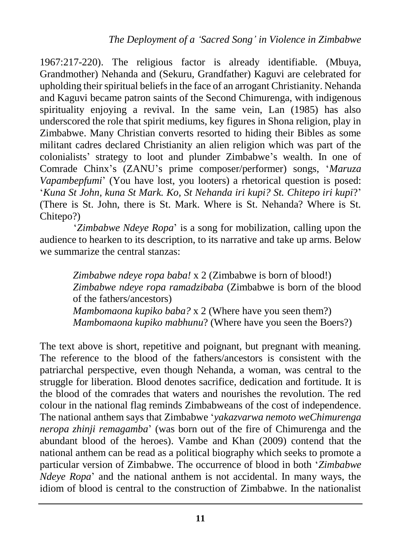1967:217-220). The religious factor is already identifiable. (Mbuya, Grandmother) Nehanda and (Sekuru, Grandfather) Kaguvi are celebrated for upholding their spiritual beliefs in the face of an arrogant Christianity. Nehanda and Kaguvi became patron saints of the Second Chimurenga, with indigenous spirituality enjoying a revival. In the same vein, Lan (1985) has also underscored the role that spirit mediums, key figures in Shona religion, play in Zimbabwe. Many Christian converts resorted to hiding their Bibles as some militant cadres declared Christianity an alien religion which was part of the colonialists' strategy to loot and plunder Zimbabwe's wealth. In one of Comrade Chinx's (ZANU's prime composer/performer) songs, '*Maruza Vapambepfumi*' (You have lost, you looters) a rhetorical question is posed: '*Kuna St John, kuna St Mark. Ko, St Nehanda iri kupi? St. Chitepo iri kupi*?' (There is St. John, there is St. Mark. Where is St. Nehanda? Where is St. Chitepo?)

'*Zimbabwe Ndeye Ropa*' is a song for mobilization, calling upon the audience to hearken to its description, to its narrative and take up arms. Below we summarize the central stanzas:

*Zimbabwe ndeye ropa baba!* x 2 (Zimbabwe is born of blood!) *Zimbabwe ndeye ropa ramadzibaba* (Zimbabwe is born of the blood of the fathers/ancestors) *Mambomaona kupiko baba?* x 2 (Where have you seen them?) *Mambomaona kupiko mabhunu*? (Where have you seen the Boers?)

The text above is short, repetitive and poignant, but pregnant with meaning. The reference to the blood of the fathers/ancestors is consistent with the patriarchal perspective, even though Nehanda, a woman, was central to the struggle for liberation. Blood denotes sacrifice, dedication and fortitude. It is the blood of the comrades that waters and nourishes the revolution. The red colour in the national flag reminds Zimbabweans of the cost of independence. The national anthem says that Zimbabwe '*yakazvarwa nemoto weChimurenga neropa zhinji remagamba*' (was born out of the fire of Chimurenga and the abundant blood of the heroes). Vambe and Khan (2009) contend that the national anthem can be read as a political biography which seeks to promote a particular version of Zimbabwe. The occurrence of blood in both '*Zimbabwe Ndeye Ropa*' and the national anthem is not accidental. In many ways, the idiom of blood is central to the construction of Zimbabwe. In the nationalist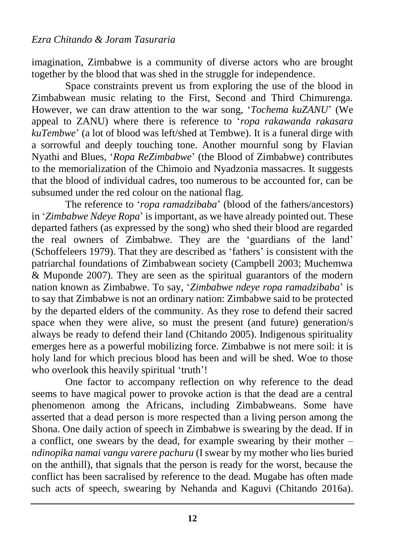imagination, Zimbabwe is a community of diverse actors who are brought together by the blood that was shed in the struggle for independence.

Space constraints prevent us from exploring the use of the blood in Zimbabwean music relating to the First, Second and Third Chimurenga. However, we can draw attention to the war song, '*Tochema kuZANU*' (We appeal to ZANU) where there is reference to '*ropa rakawanda rakasara kuTembwe*' (a lot of blood was left/shed at Tembwe). It is a funeral dirge with a sorrowful and deeply touching tone. Another mournful song by Flavian Nyathi and Blues, '*Ropa ReZimbabwe*' (the Blood of Zimbabwe) contributes to the memorialization of the Chimoio and Nyadzonia massacres. It suggests that the blood of individual cadres, too numerous to be accounted for, can be subsumed under the red colour on the national flag.

The reference to '*ropa ramadzibaba*' (blood of the fathers/ancestors) in '*Zimbabwe Ndeye Ropa*' is important, as we have already pointed out. These departed fathers (as expressed by the song) who shed their blood are regarded the real owners of Zimbabwe. They are the 'guardians of the land' (Schoffeleers 1979). That they are described as 'fathers' is consistent with the patriarchal foundations of Zimbabwean society (Campbell 2003; Muchemwa  $\&$  Muponde 2007). They are seen as the spiritual guarantors of the modern nation known as Zimbabwe. To say, '*Zimbabwe ndeye ropa ramadzibaba*' is to say that Zimbabwe is not an ordinary nation: Zimbabwe said to be protected by the departed elders of the community. As they rose to defend their sacred space when they were alive, so must the present (and future) generation/s always be ready to defend their land (Chitando 2005). Indigenous spirituality emerges here as a powerful mobilizing force. Zimbabwe is not mere soil: it is holy land for which precious blood has been and will be shed. Woe to those who overlook this heavily spiritual 'truth'!

One factor to accompany reflection on why reference to the dead seems to have magical power to provoke action is that the dead are a central phenomenon among the Africans, including Zimbabweans. Some have asserted that a dead person is more respected than a living person among the Shona. One daily action of speech in Zimbabwe is swearing by the dead. If in a conflict, one swears by the dead, for example swearing by their mother – *ndinopika namai vangu varere pachuru* (I swear by my mother who lies buried on the anthill), that signals that the person is ready for the worst, because the conflict has been sacralised by reference to the dead. Mugabe has often made such acts of speech, swearing by Nehanda and Kaguvi (Chitando 2016a).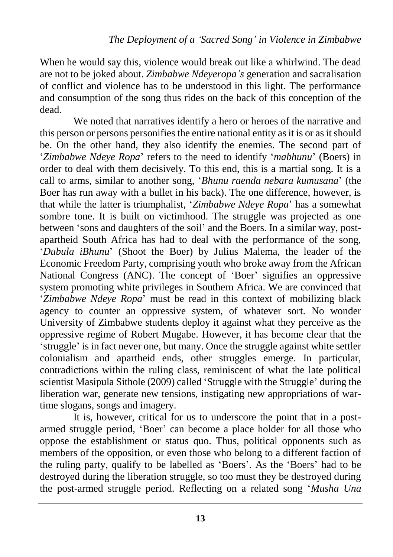When he would say this, violence would break out like a whirlwind. The dead are not to be joked about. *Zimbabwe Ndeyeropa's* generation and sacralisation of conflict and violence has to be understood in this light. The performance and consumption of the song thus rides on the back of this conception of the dead.

We noted that narratives identify a hero or heroes of the narrative and this person or persons personifies the entire national entity as it is or as it should be. On the other hand, they also identify the enemies. The second part of '*Zimbabwe Ndeye Ropa*' refers to the need to identify '*mabhunu*' (Boers) in order to deal with them decisively. To this end, this is a martial song. It is a call to arms, similar to another song, '*Bhunu raenda nebara kumusana*' (the Boer has run away with a bullet in his back). The one difference, however, is that while the latter is triumphalist, '*Zimbabwe Ndeye Ropa*' has a somewhat sombre tone. It is built on victimhood. The struggle was projected as one between 'sons and daughters of the soil' and the Boers. In a similar way, postapartheid South Africa has had to deal with the performance of the song, '*Dubula iBhunu*' (Shoot the Boer) by Julius Malema, the leader of the Economic Freedom Party, comprising youth who broke away from the African National Congress (ANC). The concept of 'Boer' signifies an oppressive system promoting white privileges in Southern Africa. We are convinced that '*Zimbabwe Ndeye Ropa*' must be read in this context of mobilizing black agency to counter an oppressive system, of whatever sort. No wonder University of Zimbabwe students deploy it against what they perceive as the oppressive regime of Robert Mugabe. However, it has become clear that the 'struggle' is in fact never one, but many. Once the struggle against white settler colonialism and apartheid ends, other struggles emerge. In particular, contradictions within the ruling class, reminiscent of what the late political scientist Masipula Sithole (2009) called 'Struggle with the Struggle' during the liberation war, generate new tensions, instigating new appropriations of wartime slogans, songs and imagery.

It is, however, critical for us to underscore the point that in a postarmed struggle period, 'Boer' can become a place holder for all those who oppose the establishment or status quo. Thus, political opponents such as members of the opposition, or even those who belong to a different faction of the ruling party, qualify to be labelled as 'Boers'. As the 'Boers' had to be destroyed during the liberation struggle, so too must they be destroyed during the post-armed struggle period. Reflecting on a related song '*Musha Una*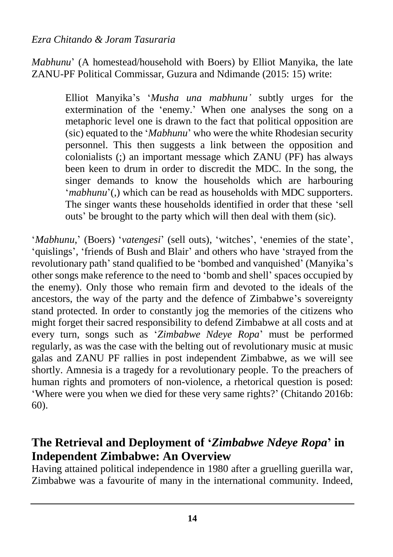*Mabhunu*' (A homestead/household with Boers) by Elliot Manyika, the late ZANU-PF Political Commissar, Guzura and Ndimande (2015: 15) write:

> Elliot Manyika's '*Musha una mabhunu'* subtly urges for the extermination of the 'enemy.' When one analyses the song on a metaphoric level one is drawn to the fact that political opposition are (sic) equated to the '*Mabhunu*' who were the white Rhodesian security personnel. This then suggests a link between the opposition and colonialists  $\overline{z}$  an important message which ZANU (PF) has always been keen to drum in order to discredit the MDC. In the song, the singer demands to know the households which are harbouring '*mabhunu*'(,) which can be read as households with MDC supporters. The singer wants these households identified in order that these 'sell outs' be brought to the party which will then deal with them (sic).

'*Mabhunu*,' (Boers) '*vatengesi*' (sell outs), 'witches', 'enemies of the state', 'quislings', 'friends of Bush and Blair' and others who have 'strayed from the revolutionary path' stand qualified to be 'bombed and vanquished' (Manyika's other songs make reference to the need to 'bomb and shell' spaces occupied by the enemy). Only those who remain firm and devoted to the ideals of the ancestors, the way of the party and the defence of Zimbabwe's sovereignty stand protected. In order to constantly jog the memories of the citizens who might forget their sacred responsibility to defend Zimbabwe at all costs and at every turn, songs such as '*Zimbabwe Ndeye Ropa*' must be performed regularly, as was the case with the belting out of revolutionary music at music galas and ZANU PF rallies in post independent Zimbabwe, as we will see shortly. Amnesia is a tragedy for a revolutionary people. To the preachers of human rights and promoters of non-violence, a rhetorical question is posed: 'Where were you when we died for these very same rights?' (Chitando 2016b: 60).

## **The Retrieval and Deployment of '***Zimbabwe Ndeye Ropa***' in Independent Zimbabwe: An Overview**

Having attained political independence in 1980 after a gruelling guerilla war, Zimbabwe was a favourite of many in the international community. Indeed,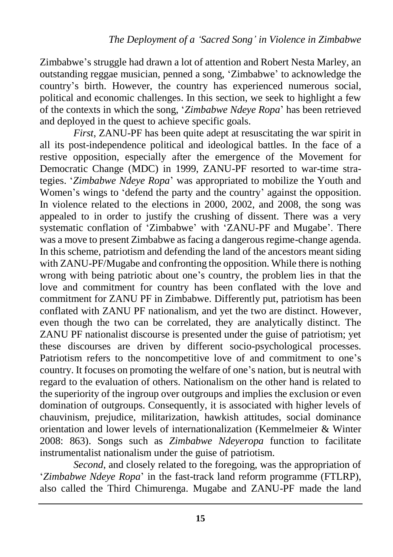Zimbabwe's struggle had drawn a lot of attention and Robert Nesta Marley, an outstanding reggae musician, penned a song, 'Zimbabwe' to acknowledge the country's birth. However, the country has experienced numerous social, political and economic challenges. In this section, we seek to highlight a few of the contexts in which the song, '*Zimbabwe Ndeye Ropa*' has been retrieved and deployed in the quest to achieve specific goals.

*First*, ZANU-PF has been quite adept at resuscitating the war spirit in all its post-independence political and ideological battles. In the face of a restive opposition, especially after the emergence of the Movement for Democratic Change (MDC) in 1999, ZANU-PF resorted to war-time strategies. '*Zimbabwe Ndeye Ropa*' was appropriated to mobilize the Youth and Women's wings to 'defend the party and the country' against the opposition. In violence related to the elections in 2000, 2002, and 2008, the song was appealed to in order to justify the crushing of dissent. There was a very systematic conflation of 'Zimbabwe' with 'ZANU-PF and Mugabe'. There was a move to present Zimbabwe as facing a dangerous regime-change agenda. In this scheme, patriotism and defending the land of the ancestors meant siding with ZANU-PF/Mugabe and confronting the opposition. While there is nothing wrong with being patriotic about one's country, the problem lies in that the love and commitment for country has been conflated with the love and commitment for ZANU PF in Zimbabwe. Differently put, patriotism has been conflated with ZANU PF nationalism, and yet the two are distinct. However, even though the two can be correlated, they are analytically distinct. The ZANU PF nationalist discourse is presented under the guise of patriotism; yet these discourses are driven by different socio-psychological processes. Patriotism refers to the noncompetitive love of and commitment to one's country. It focuses on promoting the welfare of one's nation, but is neutral with regard to the evaluation of others. Nationalism on the other hand is related to the superiority of the ingroup over outgroups and implies the exclusion or even domination of outgroups. Consequently, it is associated with higher levels of chauvinism, prejudice, militarization, hawkish attitudes, social dominance orientation and lower levels of internationalization (Kemmelmeier & Winter 2008: 863). Songs such as *Zimbabwe Ndeyeropa* function to facilitate instrumentalist nationalism under the guise of patriotism.

*Second*, and closely related to the foregoing, was the appropriation of '*Zimbabwe Ndeye Ropa*' in the fast-track land reform programme (FTLRP), also called the Third Chimurenga. Mugabe and ZANU-PF made the land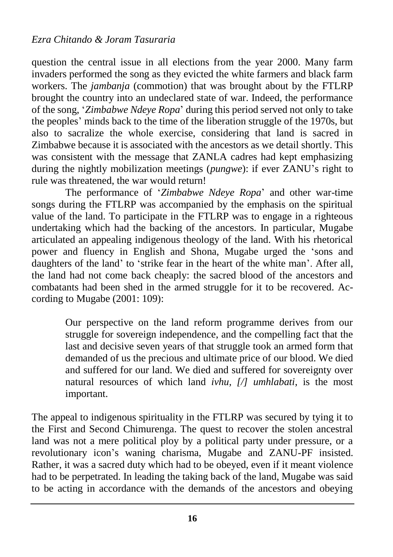question the central issue in all elections from the year 2000. Many farm invaders performed the song as they evicted the white farmers and black farm workers. The *jambanja* (commotion) that was brought about by the FTLRP brought the country into an undeclared state of war. Indeed, the performance of the song, '*Zimbabwe Ndeye Ropa*' during this period served not only to take the peoples' minds back to the time of the liberation struggle of the 1970s, but also to sacralize the whole exercise, considering that land is sacred in Zimbabwe because it is associated with the ancestors as we detail shortly. This was consistent with the message that ZANLA cadres had kept emphasizing during the nightly mobilization meetings (*pungwe*): if ever ZANU's right to rule was threatened, the war would return!

The performance of '*Zimbabwe Ndeye Ropa*' and other war-time songs during the FTLRP was accompanied by the emphasis on the spiritual value of the land. To participate in the FTLRP was to engage in a righteous undertaking which had the backing of the ancestors. In particular, Mugabe articulated an appealing indigenous theology of the land. With his rhetorical power and fluency in English and Shona, Mugabe urged the 'sons and daughters of the land' to 'strike fear in the heart of the white man'. After all, the land had not come back cheaply: the sacred blood of the ancestors and combatants had been shed in the armed struggle for it to be recovered. According to Mugabe (2001: 109):

> Our perspective on the land reform programme derives from our struggle for sovereign independence, and the compelling fact that the last and decisive seven years of that struggle took an armed form that demanded of us the precious and ultimate price of our blood. We died and suffered for our land. We died and suffered for sovereignty over natural resources of which land *ivhu, [/] umhlabati*, is the most important.

The appeal to indigenous spirituality in the FTLRP was secured by tying it to the First and Second Chimurenga. The quest to recover the stolen ancestral land was not a mere political ploy by a political party under pressure, or a revolutionary icon's waning charisma, Mugabe and ZANU-PF insisted. Rather, it was a sacred duty which had to be obeyed, even if it meant violence had to be perpetrated. In leading the taking back of the land, Mugabe was said to be acting in accordance with the demands of the ancestors and obeying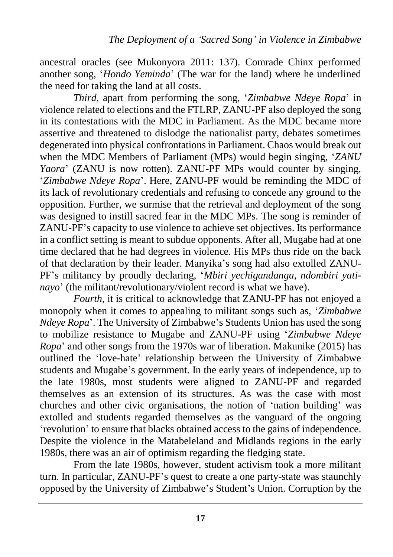ancestral oracles (see Mukonyora 2011: 137). Comrade Chinx performed another song, '*Hondo Yeminda*' (The war for the land) where he underlined the need for taking the land at all costs.

*Third*, apart from performing the song, '*Zimbabwe Ndeye Ropa*' in violence related to elections and the FTLRP, ZANU-PF also deployed the song in its contestations with the MDC in Parliament. As the MDC became more assertive and threatened to dislodge the nationalist party, debates sometimes degenerated into physical confrontations in Parliament. Chaos would break out when the MDC Members of Parliament (MPs) would begin singing, '*ZANU Yaora*' (ZANU is now rotten). ZANU-PF MPs would counter by singing, '*Zimbabwe Ndeye Ropa*'. Here, ZANU-PF would be reminding the MDC of its lack of revolutionary credentials and refusing to concede any ground to the opposition. Further, we surmise that the retrieval and deployment of the song was designed to instill sacred fear in the MDC MPs. The song is reminder of ZANU-PF's capacity to use violence to achieve set objectives. Its performance in a conflict setting is meant to subdue opponents. After all, Mugabe had at one time declared that he had degrees in violence. His MPs thus ride on the back of that declaration by their leader. Manyika's song had also extolled ZANU-PF's militancy by proudly declaring, '*Mbiri yechigandanga, ndombiri yatinayo*' (the militant/revolutionary/violent record is what we have).

*Fourth*, it is critical to acknowledge that ZANU-PF has not enjoyed a monopoly when it comes to appealing to militant songs such as, '*Zimbabwe Ndeye Ropa*'. The University of Zimbabwe's Students Union has used the song to mobilize resistance to Mugabe and ZANU-PF using '*Zimbabwe Ndeye Ropa*' and other songs from the 1970s war of liberation. Makunike (2015) has outlined the 'love-hate' relationship between the University of Zimbabwe students and Mugabe's government. In the early years of independence, up to the late 1980s, most students were aligned to ZANU-PF and regarded themselves as an extension of its structures. As was the case with most churches and other civic organisations, the notion of 'nation building' was extolled and students regarded themselves as the vanguard of the ongoing 'revolution' to ensure that blacks obtained access to the gains of independence. Despite the violence in the Matabeleland and Midlands regions in the early 1980s, there was an air of optimism regarding the fledging state.

From the late 1980s, however, student activism took a more militant turn. In particular, ZANU-PF's quest to create a one party-state was staunchly opposed by the University of Zimbabwe's Student's Union. Corruption by the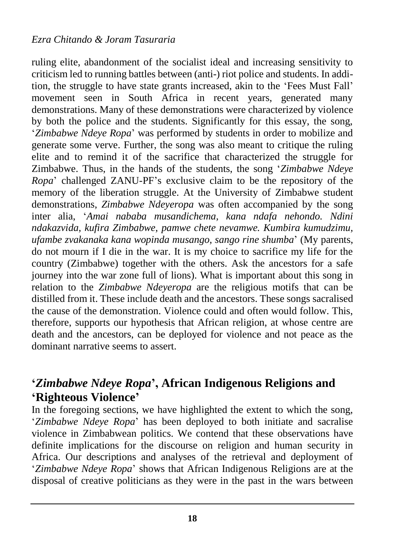ruling elite, abandonment of the socialist ideal and increasing sensitivity to criticism led to running battles between (anti-) riot police and students. In addition, the struggle to have state grants increased, akin to the 'Fees Must Fall' movement seen in South Africa in recent years, generated many demonstrations. Many of these demonstrations were characterized by violence by both the police and the students. Significantly for this essay, the song, '*Zimbabwe Ndeye Ropa*' was performed by students in order to mobilize and generate some verve. Further, the song was also meant to critique the ruling elite and to remind it of the sacrifice that characterized the struggle for Zimbabwe. Thus, in the hands of the students, the song '*Zimbabwe Ndeye Ropa*' challenged ZANU-PF's exclusive claim to be the repository of the memory of the liberation struggle. At the University of Zimbabwe student demonstrations, *Zimbabwe Ndeyeropa* was often accompanied by the song inter alia, '*Amai nababa musandichema, kana ndafa nehondo. Ndini ndakazvida, kufira Zimbabwe, pamwe chete nevamwe. Kumbira kumudzimu, ufambe zvakanaka kana wopinda musango, sango rine shumba*' (My parents, do not mourn if I die in the war. It is my choice to sacrifice my life for the country (Zimbabwe) together with the others. Ask the ancestors for a safe journey into the war zone full of lions). What is important about this song in relation to the *Zimbabwe Ndeyeropa* are the religious motifs that can be distilled from it. These include death and the ancestors. These songs sacralised the cause of the demonstration. Violence could and often would follow. This, therefore, supports our hypothesis that African religion, at whose centre are death and the ancestors, can be deployed for violence and not peace as the dominant narrative seems to assert.

### **'***Zimbabwe Ndeye Ropa***', African Indigenous Religions and 'Righteous Violence'**

In the foregoing sections, we have highlighted the extent to which the song, '*Zimbabwe Ndeye Ropa*' has been deployed to both initiate and sacralise violence in Zimbabwean politics. We contend that these observations have definite implications for the discourse on religion and human security in Africa. Our descriptions and analyses of the retrieval and deployment of '*Zimbabwe Ndeye Ropa*' shows that African Indigenous Religions are at the disposal of creative politicians as they were in the past in the wars between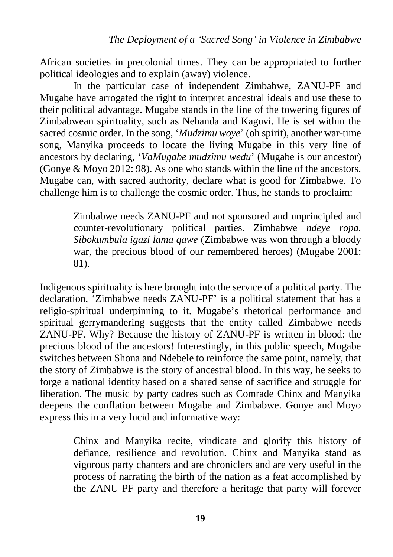African societies in precolonial times. They can be appropriated to further political ideologies and to explain (away) violence.

In the particular case of independent Zimbabwe, ZANU-PF and Mugabe have arrogated the right to interpret ancestral ideals and use these to their political advantage. Mugabe stands in the line of the towering figures of Zimbabwean spirituality, such as Nehanda and Kaguvi. He is set within the sacred cosmic order. In the song, '*Mudzimu woye*' (oh spirit), another war-time song, Manyika proceeds to locate the living Mugabe in this very line of ancestors by declaring, '*VaMugabe mudzimu wedu*' (Mugabe is our ancestor) (Gonye & Moyo 2012: 98). As one who stands within the line of the ancestors, Mugabe can, with sacred authority, declare what is good for Zimbabwe. To challenge him is to challenge the cosmic order. Thus, he stands to proclaim:

> Zimbabwe needs ZANU-PF and not sponsored and unprincipled and counter-revolutionary political parties. Zimbabwe *ndeye ropa. Sibokumbula igazi lama qawe* (Zimbabwe was won through a bloody war, the precious blood of our remembered heroes) (Mugabe 2001: 81).

Indigenous spirituality is here brought into the service of a political party. The declaration, 'Zimbabwe needs ZANU-PF' is a political statement that has a religio-spiritual underpinning to it. Mugabe's rhetorical performance and spiritual gerrymandering suggests that the entity called Zimbabwe needs ZANU-PF. Why? Because the history of ZANU-PF is written in blood: the precious blood of the ancestors! Interestingly, in this public speech, Mugabe switches between Shona and Ndebele to reinforce the same point, namely, that the story of Zimbabwe is the story of ancestral blood. In this way, he seeks to forge a national identity based on a shared sense of sacrifice and struggle for liberation. The music by party cadres such as Comrade Chinx and Manyika deepens the conflation between Mugabe and Zimbabwe. Gonye and Moyo express this in a very lucid and informative way:

> Chinx and Manyika recite, vindicate and glorify this history of defiance, resilience and revolution. Chinx and Manyika stand as vigorous party chanters and are chroniclers and are very useful in the process of narrating the birth of the nation as a feat accomplished by the ZANU PF party and therefore a heritage that party will forever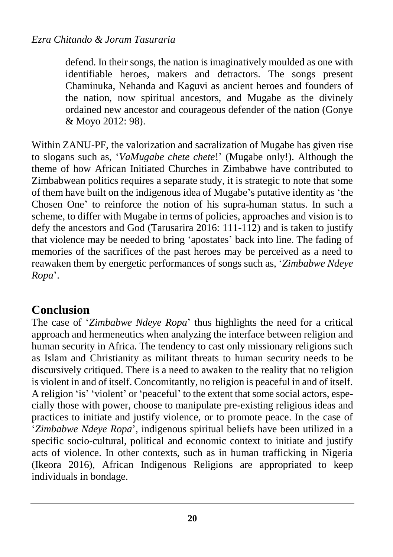defend. In their songs, the nation is imaginatively moulded as one with identifiable heroes, makers and detractors. The songs present Chaminuka, Nehanda and Kaguvi as ancient heroes and founders of the nation, now spiritual ancestors, and Mugabe as the divinely ordained new ancestor and courageous defender of the nation (Gonye & Moyo 2012: 98).

Within ZANU-PF, the valorization and sacralization of Mugabe has given rise to slogans such as, '*VaMugabe chete chete*!' (Mugabe only!). Although the theme of how African Initiated Churches in Zimbabwe have contributed to Zimbabwean politics requires a separate study, it is strategic to note that some of them have built on the indigenous idea of Mugabe's putative identity as 'the Chosen One' to reinforce the notion of his supra-human status. In such a scheme, to differ with Mugabe in terms of policies, approaches and vision is to defy the ancestors and God (Tarusarira 2016: 111-112) and is taken to justify that violence may be needed to bring 'apostates' back into line. The fading of memories of the sacrifices of the past heroes may be perceived as a need to reawaken them by energetic performances of songs such as, '*Zimbabwe Ndeye Ropa*'.

# **Conclusion**

The case of '*Zimbabwe Ndeye Ropa*' thus highlights the need for a critical approach and hermeneutics when analyzing the interface between religion and human security in Africa. The tendency to cast only missionary religions such as Islam and Christianity as militant threats to human security needs to be discursively critiqued. There is a need to awaken to the reality that no religion is violent in and of itself. Concomitantly, no religion is peaceful in and of itself. A religion 'is' 'violent' or 'peaceful' to the extent that some social actors, especially those with power, choose to manipulate pre-existing religious ideas and practices to initiate and justify violence, or to promote peace. In the case of '*Zimbabwe Ndeye Ropa*', indigenous spiritual beliefs have been utilized in a specific socio-cultural, political and economic context to initiate and justify acts of violence. In other contexts, such as in human trafficking in Nigeria (Ikeora 2016), African Indigenous Religions are appropriated to keep individuals in bondage.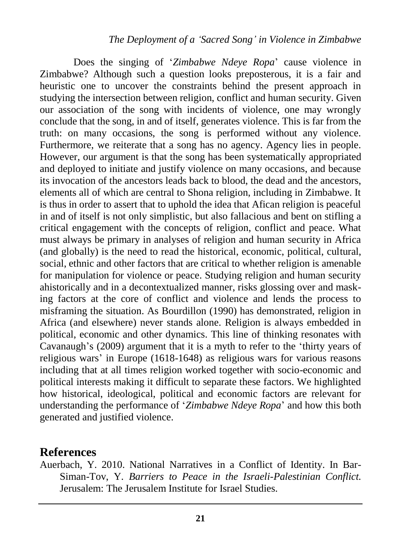#### *The Deployment of a 'Sacred Song' in Violence in Zimbabwe*

Does the singing of '*Zimbabwe Ndeye Ropa*' cause violence in Zimbabwe? Although such a question looks preposterous, it is a fair and heuristic one to uncover the constraints behind the present approach in studying the intersection between religion, conflict and human security. Given our association of the song with incidents of violence, one may wrongly conclude that the song, in and of itself, generates violence. This is far from the truth: on many occasions, the song is performed without any violence. Furthermore, we reiterate that a song has no agency. Agency lies in people. However, our argument is that the song has been systematically appropriated and deployed to initiate and justify violence on many occasions, and because its invocation of the ancestors leads back to blood, the dead and the ancestors, elements all of which are central to Shona religion, including in Zimbabwe. It is thus in order to assert that to uphold the idea that Afican religion is peaceful in and of itself is not only simplistic, but also fallacious and bent on stifling a critical engagement with the concepts of religion, conflict and peace. What must always be primary in analyses of religion and human security in Africa (and globally) is the need to read the historical, economic, political, cultural, social, ethnic and other factors that are critical to whether religion is amenable for manipulation for violence or peace. Studying religion and human security ahistorically and in a decontextualized manner, risks glossing over and masking factors at the core of conflict and violence and lends the process to misframing the situation. As Bourdillon (1990) has demonstrated, religion in Africa (and elsewhere) never stands alone. Religion is always embedded in political, economic and other dynamics. This line of thinking resonates with Cavanaugh's (2009) argument that it is a myth to refer to the 'thirty years of religious wars' in Europe (1618-1648) as religious wars for various reasons including that at all times religion worked together with socio-economic and political interests making it difficult to separate these factors. We highlighted how historical, ideological, political and economic factors are relevant for understanding the performance of '*Zimbabwe Ndeye Ropa*' and how this both generated and justified violence.

#### **References**

Auerbach, Y. 2010. National Narratives in a Conflict of Identity. In Bar-Siman-Tov, Y. *Barriers to Peace in the Israeli-Palestinian Conflict.* Jerusalem: The Jerusalem Institute for Israel Studies.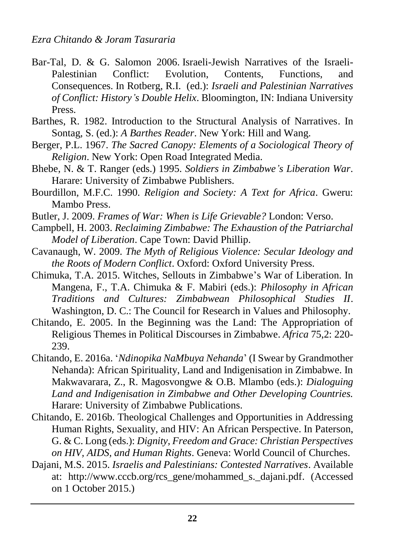- Bar-Tal, D. & G. Salomon 2006. [Israeli-Jewish](http://media.wix.com/ugd/73982d_a310e4983a5f5a8360416e7e22ce44da.pdf) Narratives of the Israeli-[Palestinian](http://media.wix.com/ugd/73982d_a310e4983a5f5a8360416e7e22ce44da.pdf) Conflict: Evolution, Contents, Functions, and [Consequences.](http://media.wix.com/ugd/73982d_a310e4983a5f5a8360416e7e22ce44da.pdf) In Rotberg, R.I. (ed.): *Israeli and Palestinian Narratives of Conflict: History's Double Helix*. Bloomington, IN: Indiana University Press.
- Barthes, R. 1982. Introduction to the Structural Analysis of Narratives. In Sontag, S. (ed.): *A Barthes Reader*. New York: Hill and Wang.
- Berger, P.L. 1967. *The Sacred Canopy: Elements of a Sociological Theory of Religion*. New York: Open Road Integrated Media.
- Bhebe, N. & T. Ranger (eds.) 1995. *Soldiers in Zimbabwe's Liberation War*. Harare: University of Zimbabwe Publishers.
- Bourdillon, M.F.C. 1990. *Religion and Society: A Text for Africa*. Gweru: Mambo Press.
- Butler, J. 2009. *Frames of War: When is Life Grievable?* London: Verso.
- Campbell, H. 2003. *Reclaiming Zimbabwe: The Exhaustion of the Patriarchal Model of Liberation*. Cape Town: David Phillip.
- Cavanaugh, W. 2009. *The Myth of Religious Violence: Secular Ideology and the Roots of Modern Conflict*. Oxford: Oxford University Press.
- Chimuka, T.A. 2015. Witches, Sellouts in Zimbabwe's War of Liberation. In Mangena, F., T.A. Chimuka & F. Mabiri (eds.): *Philosophy in African Traditions and Cultures: Zimbabwean Philosophical Studies II*. Washington, D. C.: The Council for Research in Values and Philosophy.
- Chitando, E. 2005. In the Beginning was the Land: The Appropriation of Religious Themes in Political Discourses in Zimbabwe. *Africa* 75,2: 220- 239.
- Chitando, E. 2016a. '*Ndinopika NaMbuya Nehanda*' (I Swear by Grandmother Nehanda): African Spirituality, Land and Indigenisation in Zimbabwe. In Makwavarara, Z., R. Magosvongwe & O.B. Mlambo (eds.): *Dialoguing Land and Indigenisation in Zimbabwe and Other Developing Countries.* Harare: University of Zimbabwe Publications.
- Chitando, E. 2016b. Theological Challenges and Opportunities in Addressing Human Rights, Sexuality, and HIV: An African Perspective. In Paterson, G. & C. Long (eds.): *Dignity, Freedom and Grace: Christian Perspectives on HIV, AIDS, and Human Rights*. Geneva: World Council of Churches.
- Dajani, M.S. 2015. *Israelis and Palestinians: Contested Narratives*. Available at: [http://www.cccb.org/rcs\\_gene/mohammed\\_s.\\_dajani.pdf.](http://www.cccb.org/rcs_gene/mohammed_s._dajani.pdf) (Accessed on 1 October 2015.)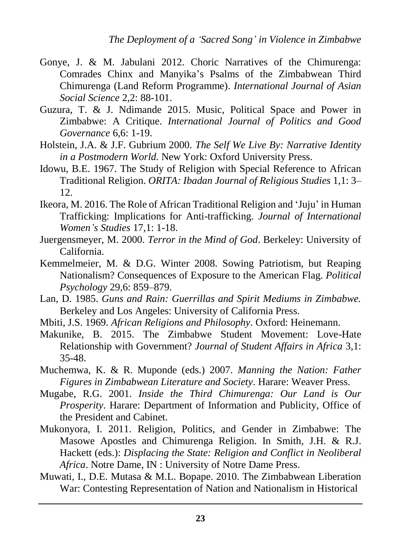- Gonye, J. & M. Jabulani 2012. Choric Narratives of the Chimurenga: Comrades Chinx and Manyika's Psalms of the Zimbabwean Third Chimurenga (Land Reform Programme). *International Journal of Asian Social Science* 2,2: 88-101.
- Guzura, T. & J. Ndimande 2015. Music, Political Space and Power in Zimbabwe: A Critique. *International Journal of Politics and Good Governance* 6,6: 1-19.
- Holstein, J.A. & J.F. Gubrium 2000. *The Self We Live By: Narrative Identity in a Postmodern World.* New York: Oxford University Press.
- Idowu, B.E. 1967. The Study of Religion with Special Reference to African Traditional Religion. *ORITA: Ibadan Journal of Religious Studies* 1,1: 3– 12.
- Ikeora, M. 2016. The Role of African Traditional Religion and 'Juju' in Human Trafficking: Implications for Anti-trafficking. *Journal of International Women's Studies* 17,1: 1-18.
- Juergensmeyer, M. 2000. *Terror in the Mind of God*. Berkeley: University of California.
- Kemmelmeier, M. & D.G. Winter 2008. Sowing Patriotism, but Reaping Nationalism? Consequences of Exposure to the American Flag. *Political Psychology* 29,6: 859–879.
- Lan, D. 1985. *Guns and Rain: Guerrillas and Spirit Mediums in Zimbabwe.*  Berkeley and Los Angeles: University of California Press.
- Mbiti, J.S. 1969. *African Religions and Philosophy*. Oxford: Heinemann.
- Makunike, B. 2015. The Zimbabwe Student Movement: Love-Hate Relationship with Government? *Journal of Student Affairs in Africa* 3,1: 35-48.
- Muchemwa, K. & R. Muponde (eds.) 2007. *Manning the Nation: Father Figures in Zimbabwean Literature and Society*. Harare: Weaver Press.
- Mugabe, R.G. 2001. *Inside the Third Chimurenga: Our Land is Our Prosperity*. Harare: Department of Information and Publicity, Office of the President and Cabinet.
- Mukonyora, I. 2011. Religion, Politics, and Gender in Zimbabwe: The Masowe Apostles and Chimurenga Religion. In Smith, J.H. & R.J. Hackett (eds.): *Displacing the State: Religion and Conflict in Neoliberal Africa*. Notre Dame, IN : University of Notre Dame Press.
- Muwati, I., D.E. Mutasa & M.L. Bopape. 2010. The Zimbabwean Liberation War: Contesting Representation of Nation and Nationalism in Historical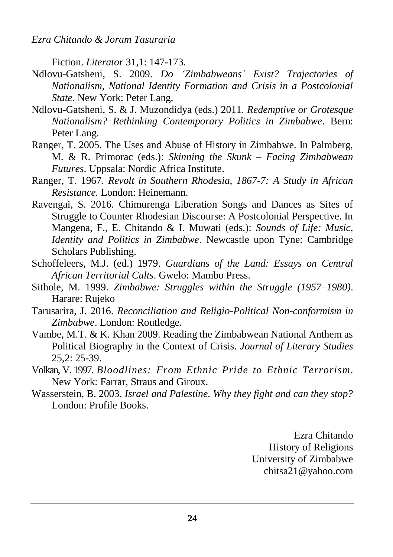Fiction. *Literator* 31,1: 147-173.

- Ndlovu-Gatsheni, S. 2009. *Do 'Zimbabweans' Exist? Trajectories of Nationalism, National Identity Formation and Crisis in a Postcolonial State*. New York: Peter Lang.
- Ndlovu-Gatsheni, S. & J. Muzondidya (eds.) 2011. *Redemptive or Grotesque Nationalism? Rethinking Contemporary Politics in Zimbabwe*. Bern: Peter Lang.
- Ranger, T. 2005. The Uses and Abuse of History in Zimbabwe. In Palmberg, M. & R. Primorac (eds.): *Skinning the Skunk – Facing Zimbabwean Futures*. Uppsala: Nordic Africa Institute.
- Ranger, T. 1967. *Revolt in Southern Rhodesia, 1867-7: A Study in African Resistance.* London: Heinemann.
- Ravengai, S. 2016. Chimurenga Liberation Songs and Dances as Sites of Struggle to Counter Rhodesian Discourse: A Postcolonial Perspective. In Mangena, F., E. Chitando & I. Muwati (eds.): *Sounds of Life: Music, Identity and Politics in Zimbabwe*. Newcastle upon Tyne: Cambridge Scholars Publishing.
- Schoffeleers, M.J. (ed.) 1979. *Guardians of the Land: Essays on Central African Territorial Cults*. Gwelo: Mambo Press.
- Sithole, M. 1999. *Zimbabwe: Struggles within the Struggle (1957–1980)*. Harare: Rujeko
- Tarusarira, J. 2016. *Reconciliation and Religio-Political Non-conformism in Zimbabwe*. London: Routledge.
- Vambe, M.T. & K. Khan 2009. Reading the Zimbabwean National Anthem as Political Biography in the Context of Crisis. *Journal of Literary Studies* 25,2: 25-39.
- Volkan, V. 1997. *Bloodlines: From Ethnic Pride to Ethnic Terrorism*. New York: Farrar, Straus and Giroux.
- Wasserstein, B. 2003. *Israel and Palestine. Why they fight and can they stop?* London: Profile Books.

Ezra Chitando History of Religions University of Zimbabwe chitsa21@yahoo.com